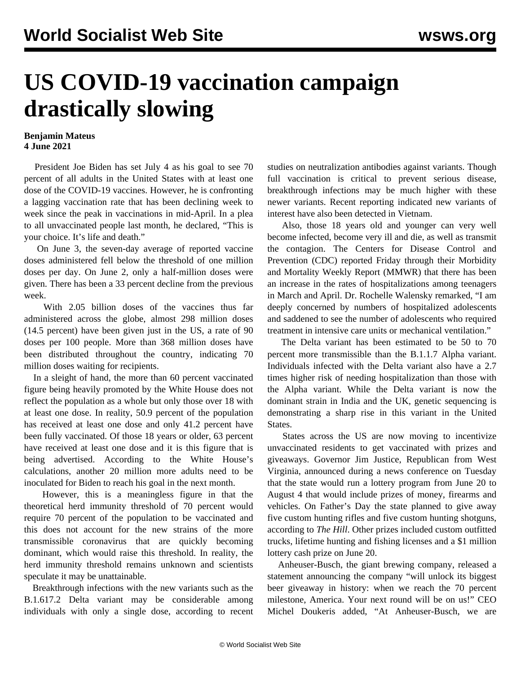## **US COVID-19 vaccination campaign drastically slowing**

## **Benjamin Mateus 4 June 2021**

 President Joe Biden has set July 4 as his goal to see 70 percent of all adults in the United States with at least one dose of the COVID-19 vaccines. However, he is confronting a lagging vaccination rate that has been declining week to week since the peak in vaccinations in mid-April. In a plea to all unvaccinated people last month, he declared, "This is your choice. It's life and death."

 On June 3, the seven-day average of reported vaccine doses administered fell below the threshold of one million doses per day. On June 2, only a half-million doses were given. There has been a 33 percent decline from the previous week.

 With 2.05 billion doses of the vaccines thus far administered across the globe, almost 298 million doses (14.5 percent) have been given just in the US, a rate of 90 doses per 100 people. More than 368 million doses have been distributed throughout the country, indicating 70 million doses waiting for recipients.

 In a sleight of hand, the more than 60 percent vaccinated figure being heavily promoted by the White House does not reflect the population as a whole but only those over 18 with at least one dose. In reality, 50.9 percent of the population has received at least one dose and only 41.2 percent have been fully vaccinated. Of those 18 years or older, 63 percent have received at least one dose and it is this figure that is being advertised. According to the White House's calculations, another 20 million more adults need to be inoculated for Biden to reach his goal in the next month.

 However, this is a meaningless figure in that the theoretical herd immunity threshold of 70 percent would require 70 percent of the population to be vaccinated and this does not account for the new strains of the more transmissible coronavirus that are quickly becoming dominant, which would raise this threshold. In reality, the herd immunity threshold remains unknown and scientists speculate it may be unattainable.

 Breakthrough infections with the new variants such as the B.1.617.2 Delta variant may be considerable among individuals with only a single dose, according to recent studies on neutralization antibodies against variants. Though full vaccination is critical to prevent serious disease, breakthrough infections may be much higher with these newer variants. Recent reporting indicated new variants of interest have also been detected in Vietnam.

 Also, those 18 years old and younger can very well become infected, become very ill and die, as well as transmit the contagion. The Centers for Disease Control and Prevention (CDC) reported Friday through their Morbidity and Mortality Weekly Report (MMWR) that there has been an increase in the rates of hospitalizations among teenagers in March and April. Dr. Rochelle Walensky remarked, "I am deeply concerned by numbers of hospitalized adolescents and saddened to see the number of adolescents who required treatment in intensive care units or mechanical ventilation."

 The Delta variant has been estimated to be 50 to 70 percent more transmissible than the B.1.1.7 Alpha variant. Individuals infected with the Delta variant also have a 2.7 times higher risk of needing hospitalization than those with the Alpha variant. While the Delta variant is now the dominant strain in India and the UK, genetic sequencing is demonstrating a sharp rise in this variant in the United States.

 States across the US are now moving to incentivize unvaccinated residents to get vaccinated with prizes and giveaways. Governor Jim Justice, Republican from West Virginia, announced during a news conference on Tuesday that the state would run a lottery program from June 20 to August 4 that would include prizes of money, firearms and vehicles. On Father's Day the state planned to give away five custom hunting rifles and five custom hunting shotguns, according to *The Hill*. Other prizes included custom outfitted trucks, lifetime hunting and fishing licenses and a \$1 million lottery cash prize on June 20.

 Anheuser-Busch, the giant brewing company, released a statement announcing the company "will unlock its biggest beer giveaway in history: when we reach the 70 percent milestone, America. Your next round will be on us!" CEO Michel Doukeris added, "At Anheuser-Busch, we are